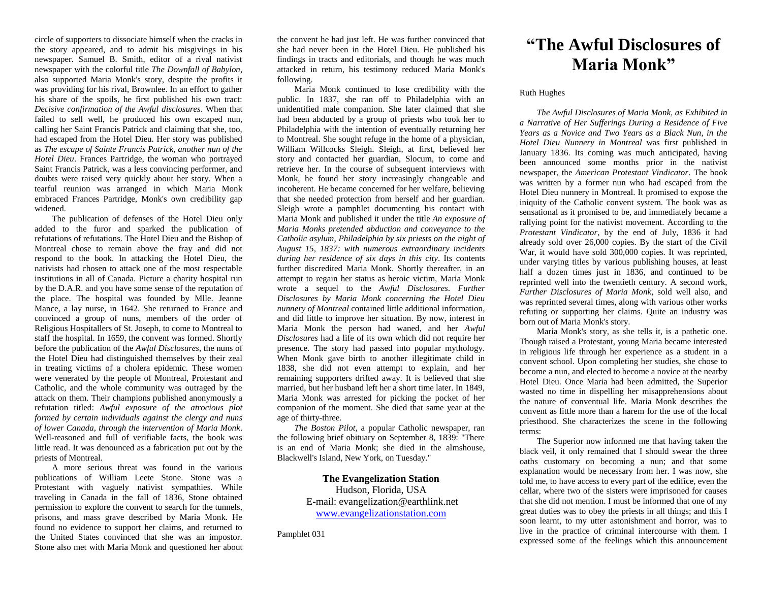circle of supporters to dissociate himself when the cracks in the story appeared, and to admit his misgivings in his newspaper. Samuel B. Smith, editor of a rival nativist newspaper with the colorful title *The Downfall of Babylon*, also supported Maria Monk's story, despite the profits it was providing for his rival, Brownlee. In an effort to gather his share of the spoils, he first published his own tract: *Decisive confirmation of the Awful disclosures*. When that failed to sell well, he produced his own escaped nun, calling her Saint Francis Patrick and claiming that she, too, had escaped from the Hotel Dieu. Her story was published as *The escape of Sainte Francis Patrick, another nun of the Hotel Dieu*. Frances Partridge, the woman who portrayed Saint Francis Patrick, was a less convincing performer, and doubts were raised very quickly about her story. When a tearful reunion was arranged in which Maria Monk embraced Frances Partridge, Monk's own credibility gap widened.

The publication of defenses of the Hotel Dieu only added to the furor and sparked the publication of refutations of refutations. The Hotel Dieu and the Bishop of Montreal chose to remain above the fray and did not respond to the book. In attacking the Hotel Dieu, the nativists had chosen to attack one of the most respectable institutions in all of Canada. Picture a charity hospital run by the D.A.R. and you have some sense of the reputation of the place. The hospital was founded by Mlle. Jeanne Mance, a lay nurse, in 1642. She returned to France and convinced a group of nuns, members of the order of Religious Hospitallers of St. Joseph, to come to Montreal to staff the hospital. In 1659, the convent was formed. Shortly before the publication of the *Awful Disclosures*, the nuns of the Hotel Dieu had distinguished themselves by their zeal in treating victims of a cholera epidemic. These women were venerated by the people of Montreal, Protestant and Catholic, and the whole community was outraged by the attack on them. Their champions published anonymously a refutation titled: *Awful exposure of the atrocious plot formed by certain individuals against the clergy and nuns of lower Canada, through the intervention of Maria Monk*. Well-reasoned and full of verifiable facts, the book was little read. It was denounced as a fabrication put out by the priests of Montreal.

A more serious threat was found in the various publications of William Leete Stone. Stone was a Protestant with vaguely nativist sympathies. While traveling in Canada in the fall of 1836, Stone obtained permission to explore the convent to search for the tunnels, prisons, and mass grave described by Maria Monk. He found no evidence to support her claims, and returned to the United States convinced that she was an impostor. Stone also met with Maria Monk and questioned her about

the convent he had just left. He was further convinced that she had never been in the Hotel Dieu. He published his findings in tracts and editorials, and though he was much attacked in return, his testimony reduced Maria Monk's following.

Maria Monk continued to lose credibility with the public. In 1837, she ran off to Philadelphia with an unidentified male companion. She later claimed that she had been abducted by a group of priests who took her to Philadelphia with the intention of eventually returning her to Montreal. She sought refuge in the home of a physician, William Willcocks Sleigh. Sleigh, at first, believed her story and contacted her guardian, Slocum, to come and retrieve her. In the course of subsequent interviews with Monk, he found her story increasingly changeable and incoherent. He became concerned for her welfare, believing that she needed protection from herself and her guardian. Sleigh wrote a pamphlet documenting his contact with Maria Monk and published it under the title *An exposure of Maria Monks pretended abduction and conveyance to the Catholic asylum, Philadelphia by six priests on the night of August 15, 1837: with numerous extraordinary incidents during her residence of six days in this city*. Its contents further discredited Maria Monk. Shortly thereafter, in an attempt to regain her status as heroic victim, Maria Monk wrote a sequel to the *Awful Disclosures*. *Further Disclosures by Maria Monk concerning the Hotel Dieu nunnery of Montreal* contained little additional information, and did little to improve her situation. By now, interest in Maria Monk the person had waned, and her *Awful Disclosures* had a life of its own which did not require her presence. The story had passed into popular mythology. When Monk gave birth to another illegitimate child in 1838, she did not even attempt to explain, and her remaining supporters drifted away. It is believed that she married, but her husband left her a short time later. In 1849, Maria Monk was arrested for picking the pocket of her companion of the moment. She died that same year at the age of thirty-three.

*The Boston Pilot*, a popular Catholic newspaper, ran the following brief obituary on September 8, 1839: "There is an end of Maria Monk; she died in the almshouse, Blackwell's Island, New York, on Tuesday."

> **The Evangelization Station** Hudson, Florida, USA E-mail: evangelization@earthlink.net [www.evangelizationstation.com](http://www.pjpiisoe.org/)

Pamphlet 031

## **"The Awful Disclosures of Maria Monk"**

## Ruth Hughes

*The Awful Disclosures of Maria Monk, as Exhibited in a Narrative of Her Sufferings During a Residence of Five Years as a Novice and Two Years as a Black Nun, in the Hotel Dieu Nunnery in Montreal* was first published in January 1836. Its coming was much anticipated, having been announced some months prior in the nativist newspaper, the *American Protestant Vindicator*. The book was written by a former nun who had escaped from the Hotel Dieu nunnery in Montreal. It promised to expose the iniquity of the Catholic convent system. The book was as sensational as it promised to be, and immediately became a rallying point for the nativist movement. According to the *Protestant Vindicator*, by the end of July, 1836 it had already sold over 26,000 copies. By the start of the Civil War, it would have sold 300,000 copies. It was reprinted, under varying titles by various publishing houses, at least half a dozen times just in 1836, and continued to be reprinted well into the twentieth century. A second work, *Further Disclosures of Maria Monk*, sold well also, and was reprinted several times, along with various other works refuting or supporting her claims. Quite an industry was born out of Maria Monk's story.

Maria Monk's story, as she tells it, is a pathetic one. Though raised a Protestant, young Maria became interested in religious life through her experience as a student in a convent school. Upon completing her studies, she chose to become a nun, and elected to become a novice at the nearby Hotel Dieu. Once Maria had been admitted, the Superior wasted no time in dispelling her misapprehensions about the nature of conventual life. Maria Monk describes the convent as little more than a harem for the use of the local priesthood. She characterizes the scene in the following terms:

The Superior now informed me that having taken the black veil, it only remained that I should swear the three oaths customary on becoming a nun; and that some explanation would be necessary from her. I was now, she told me, to have access to every part of the edifice, even the cellar, where two of the sisters were imprisoned for causes that she did not mention. I must be informed that one of my great duties was to obey the priests in all things; and this I soon learnt, to my utter astonishment and horror, was to live in the practice of criminal intercourse with them. I expressed some of the feelings which this announcement